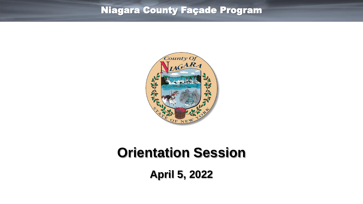

## **Orientation Session**

**April 5, 2022**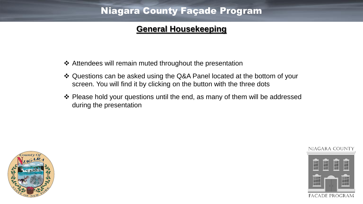#### **General Housekeeping**

- Attendees will remain muted throughout the presentation
- Questions can be asked using the Q&A Panel located at the bottom of your screen. You will find it by clicking on the button with the three dots
- **\*** Please hold your questions until the end, as many of them will be addressed during the presentation



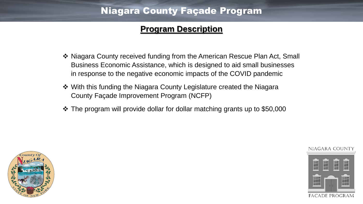#### **Program Description**

- Niagara County received funding from the American Rescue Plan Act, Small Business Economic Assistance, which is designed to aid small businesses in response to the negative economic impacts of the COVID pandemic
- With this funding the Niagara County Legislature created the Niagara County Façade Improvement Program (NCFP)
- The program will provide dollar for dollar matching grants up to \$50,000



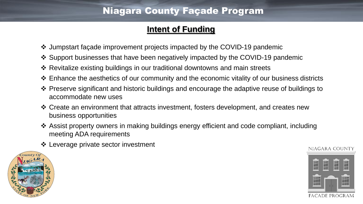## **Intent of Funding**

- Jumpstart façade improvement projects impacted by the COVID-19 pandemic
- Support businesses that have been negatively impacted by the COVID-19 pandemic
- Revitalize existing buildings in our traditional downtowns and main streets
- Enhance the aesthetics of our community and the economic vitality of our business districts
- Preserve significant and historic buildings and encourage the adaptive reuse of buildings to accommodate new uses
- Create an environment that attracts investment, fosters development, and creates new business opportunities
- Assist property owners in making buildings energy efficient and code compliant, including meeting ADA requirements
- **❖ Leverage private sector investment**



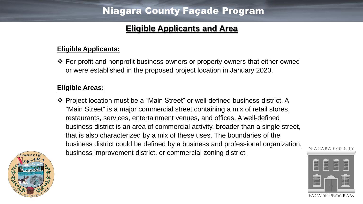## **Eligible Applicants and Area**

#### **Eligible Applicants:**

**\*** For-profit and nonprofit business owners or property owners that either owned or were established in the proposed project location in January 2020.

#### **Eligible Areas:**

 Project location must be a "Main Street" or well defined business district. A "Main Street" is a major commercial street containing a mix of retail stores, restaurants, services, entertainment venues, and offices. A well-defined business district is an area of commercial activity, broader than a single street, that is also characterized by a mix of these uses. The boundaries of the business district could be defined by a business and professional organization, business improvement district, or commercial zoning district.





NIAGARA COUNTY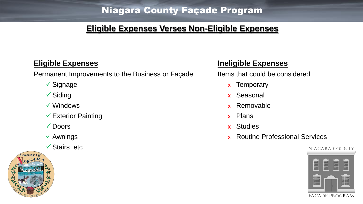### **Eligible Expenses Verses Non-Eligible Expenses**

#### **Eligible Expenses**

Permanent Improvements to the Business or Façade

- $\checkmark$  Signage
- $\checkmark$  Siding
- Windows
- Exterior Painting
- **√** Doors
- $\checkmark$  Awnings
- $\checkmark$  Stairs, etc.



#### **Ineligible Expenses**

Items that could be considered

- x Temporary
- x Seasonal
- x Removable
- x Plans
- x Studies
- x Routine Professional Services

#### NIAGARA COUNTY

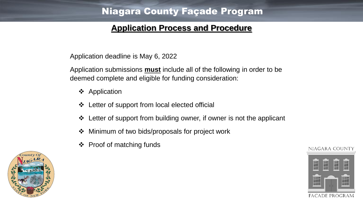#### **Application Process and Procedure**

Application deadline is May 6, 2022

Application submissions **must** include all of the following in order to be deemed complete and eligible for funding consideration:

- ❖ Application
- Letter of support from local elected official
- Letter of support from building owner, if owner is not the applicant
- Minimum of two bids/proposals for project work
- ❖ Proof of matching funds





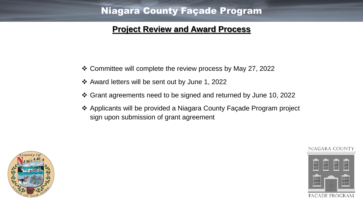#### **Project Review and Award Process**

- Committee will complete the review process by May 27, 2022
- Award letters will be sent out by June 1, 2022
- Grant agreements need to be signed and returned by June 10, 2022
- Applicants will be provided a Niagara County Façade Program project sign upon submission of grant agreement



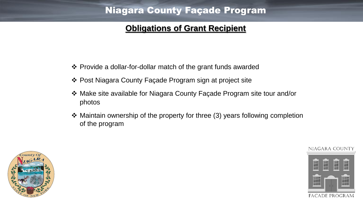#### **Obligations of Grant Recipient**

- Provide a dollar-for-dollar match of the grant funds awarded
- Post Niagara County Façade Program sign at project site
- Make site available for Niagara County Façade Program site tour and/or photos
- Maintain ownership of the property for three (3) years following completion of the program



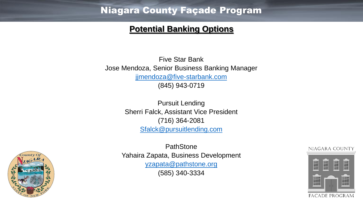#### **Potential Banking Options**

Five Star Bank Jose Mendoza, Senior Business Banking Manager [jjmendoza@five-starbank.com](mailto:jjmendoza@five-starbank.com) (845) 943-0719

> Pursuit Lending Sherri Falck, Assistant Vice President (716) 364-2081 [Sfalck@pursuitlending.com](mailto:Sfalck@pursuitlending.com)



**PathStone** Yahaira Zapata, Business Development [yzapata@pathstone.org](mailto:yzapata@pathstone.org) (585) 340-3334



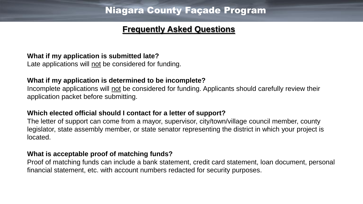#### **Frequently Asked Questions**

#### **What if my application is submitted late?**

Late applications will not be considered for funding.

#### **What if my application is determined to be incomplete?**

Incomplete applications will not be considered for funding. Applicants should carefully review their application packet before submitting.

#### **Which elected official should I contact for a letter of support?**

The letter of support can come from a mayor, supervisor, city/town/village council member, county legislator, state assembly member, or state senator representing the district in which your project is located.

#### **What is acceptable proof of matching funds?**

Proof of matching funds can include a bank statement, credit card statement, loan document, personal financial statement, etc. with account numbers redacted for security purposes.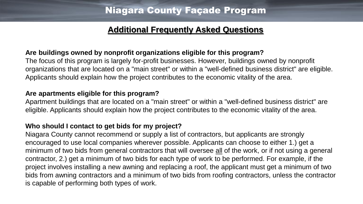#### **Additional Frequently Asked Questions**

#### **Are buildings owned by nonprofit organizations eligible for this program?**

The focus of this program is largely for-profit businesses. However, buildings owned by nonprofit organizations that are located on a "main street" or within a "well-defined business district" are eligible. Applicants should explain how the project contributes to the economic vitality of the area.

#### **Are apartments eligible for this program?**

Apartment buildings that are located on a "main street" or within a "well-defined business district" are eligible. Applicants should explain how the project contributes to the economic vitality of the area.

#### **Who should I contact to get bids for my project?**

Niagara County cannot recommend or supply a list of contractors, but applicants are strongly encouraged to use local companies wherever possible. Applicants can choose to either 1.) get a minimum of two bids from general contractors that will oversee all of the work, or if not using a general contractor, 2.) get a minimum of two bids for each type of work to be performed. For example, if the project involves installing a new awning and replacing a roof, the applicant must get a minimum of two bids from awning contractors and a minimum of two bids from roofing contractors, unless the contractor is capable of performing both types of work.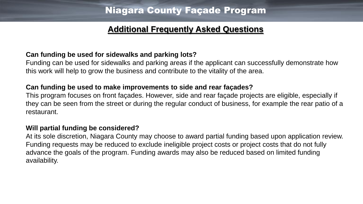#### **Additional Frequently Asked Questions**

#### **Can funding be used for sidewalks and parking lots?**

Funding can be used for sidewalks and parking areas if the applicant can successfully demonstrate how this work will help to grow the business and contribute to the vitality of the area.

#### **Can funding be used to make improvements to side and rear façades?**

This program focuses on front façades. However, side and rear façade projects are eligible, especially if they can be seen from the street or during the regular conduct of business, for example the rear patio of a restaurant.

#### **Will partial funding be considered?**

At its sole discretion, Niagara County may choose to award partial funding based upon application review. Funding requests may be reduced to exclude ineligible project costs or project costs that do not fully advance the goals of the program. Funding awards may also be reduced based on limited funding availability.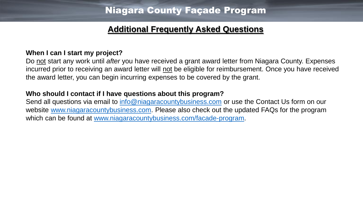#### **Additional Frequently Asked Questions**

#### **When I can I start my project?**

Do not start any work until *after* you have received a grant award letter from Niagara County. Expenses incurred prior to receiving an award letter will not be eligible for reimbursement. Once you have received the award letter, you can begin incurring expenses to be covered by the grant.

#### **Who should I contact if I have questions about this program?**

Send all questions via email to [info@niagaracountybusiness.com](mailto:info@niagaracountybusiness.com?subject=Question%20about%20Fa%C3%A7ade%20Program) or use the Contact Us form on our website [www.niagaracountybusiness.com.](https://www.niagaracountybusiness.com/) Please also check out the updated FAQs for the program which can be found at [www.niagaracountybusiness.com/facade-program.](https://www.niagaracountybusiness.com/facade-program)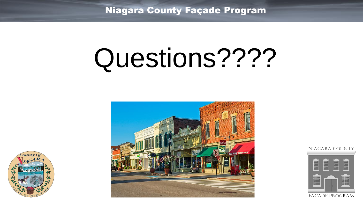## Questions????